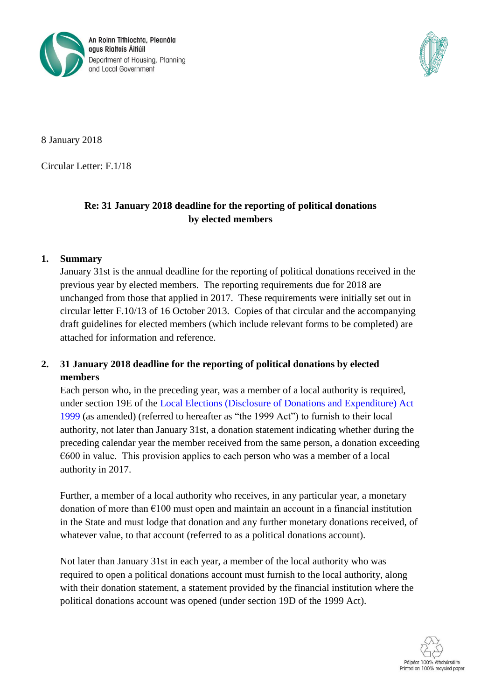



8 January 2018

Circular Letter: F.1/18

## **Re: 31 January 2018 deadline for the reporting of political donations by elected members**

## **1. Summary**

January 31st is the annual deadline for the reporting of political donations received in the previous year by elected members. The reporting requirements due for 2018 are unchanged from those that applied in 2017. These requirements were initially set out in circular letter F.10/13 of 16 October 2013. Copies of that circular and the accompanying draft guidelines for elected members (which include relevant forms to be completed) are attached for information and reference.

## **2. 31 January 2018 deadline for the reporting of political donations by elected members**

Each person who, in the preceding year, was a member of a local authority is required, under section 19E of the [Local Elections \(Disclosure of Donations and Expenditure\) Act](http://www.irishstatutebook.ie/eli/1999/act/7/enacted/en/html)  [1999](http://www.irishstatutebook.ie/eli/1999/act/7/enacted/en/html) (as amended) (referred to hereafter as "the 1999 Act") to furnish to their local authority, not later than January 31st, a donation statement indicating whether during the preceding calendar year the member received from the same person, a donation exceeding  $\epsilon$ 600 in value. This provision applies to each person who was a member of a local authority in 2017.

Further, a member of a local authority who receives, in any particular year, a monetary donation of more than  $\epsilon$ 100 must open and maintain an account in a financial institution in the State and must lodge that donation and any further monetary donations received, of whatever value, to that account (referred to as a political donations account).

Not later than January 31st in each year, a member of the local authority who was required to open a political donations account must furnish to the local authority, along with their donation statement, a statement provided by the financial institution where the political donations account was opened (under section 19D of the 1999 Act).